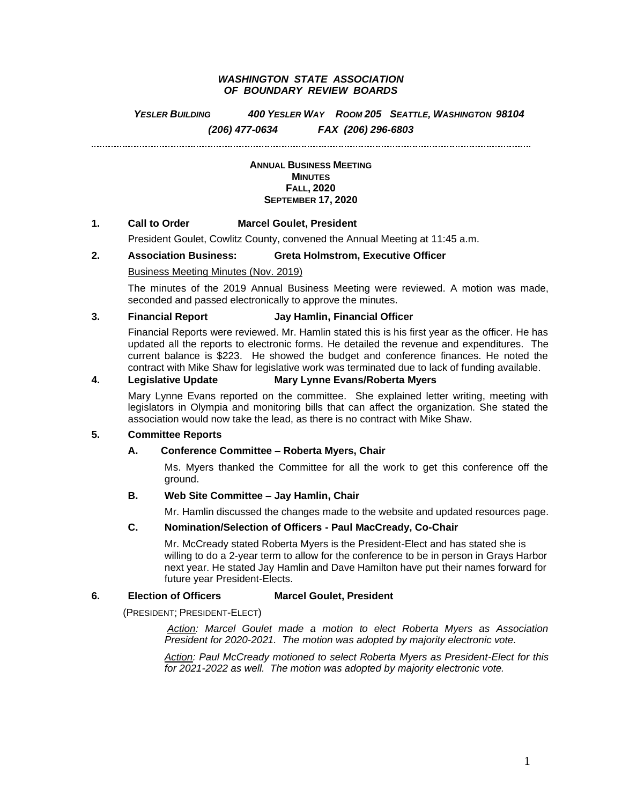#### *WASHINGTON STATE ASSOCIATION OF BOUNDARY REVIEW BOARDS*

*YESLER BUILDING 400 YESLER WAY ROOM 205 SEATTLE, WASHINGTON 98104*

*(206) 477-0634 FAX (206) 296-6803* 

#### **ANNUAL BUSINESS MEETING MINUTES FALL, 2020 SEPTEMBER 17, 2020**

### **1. Call to Order Marcel Goulet, President**

President Goulet, Cowlitz County, convened the Annual Meeting at 11:45 a.m.

**2. Association Business: Greta Holmstrom, Executive Officer** Business Meeting Minutes (Nov. 2019)

The minutes of the 2019 Annual Business Meeting were reviewed. A motion was made, seconded and passed electronically to approve the minutes.

#### **3. Financial Report Jay Hamlin, Financial Officer**

Financial Reports were reviewed. Mr. Hamlin stated this is his first year as the officer. He has updated all the reports to electronic forms. He detailed the revenue and expenditures. The current balance is \$223. He showed the budget and conference finances. He noted the contract with Mike Shaw for legislative work was terminated due to lack of funding available.

#### **4. Legislative Update Mary Lynne Evans/Roberta Myers**

Mary Lynne Evans reported on the committee. She explained letter writing, meeting with legislators in Olympia and monitoring bills that can affect the organization. She stated the association would now take the lead, as there is no contract with Mike Shaw.

#### **5. Committee Reports**

#### **A. Conference Committee – Roberta Myers, Chair**

Ms. Myers thanked the Committee for all the work to get this conference off the ground.

#### **B. Web Site Committee – Jay Hamlin, Chair**

Mr. Hamlin discussed the changes made to the website and updated resources page.

### **C. Nomination/Selection of Officers - Paul MacCready, Co-Chair**

Mr. McCready stated Roberta Myers is the President-Elect and has stated she is willing to do a 2-year term to allow for the conference to be in person in Grays Harbor next year. He stated Jay Hamlin and Dave Hamilton have put their names forward for future year President-Elects.

#### **6. Election of Officers Marcel Goulet, President**

(PRESIDENT; PRESIDENT-ELECT)

*Action: Marcel Goulet made a motion to elect Roberta Myers as Association President for 2020-2021. The motion was adopted by majority electronic vote.*

*Action: Paul McCready motioned to select Roberta Myers as President-Elect for this for 2021-2022 as well. The motion was adopted by majority electronic vote.*